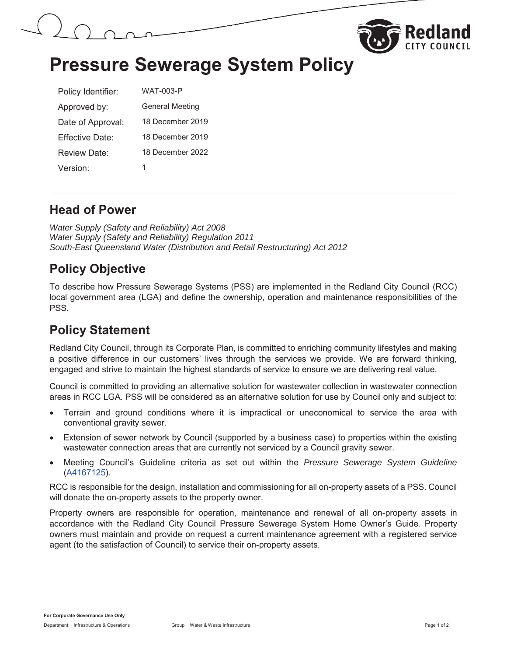



# **Pressure Sewerage System Policy**

| Policy Identifier:   | <b>WAT-003-P</b>       |
|----------------------|------------------------|
| Approved by:         | <b>General Meeting</b> |
| Date of Approval:    | 18 December 2019       |
| Fffective Date:      | 18 December 2019       |
| Review Date:         | 18 December 2022       |
| Version <sup>.</sup> | 1                      |

#### **Head of Power**

*Water Supply (Safety and Reliability) Act 2008 Water Supply (Safety and Reliability) Regulation 2011 South-East Queensland Water (Distribution and Retail Restructuring) Act 2012* 

### **Policy Objective**

To describe how Pressure Sewerage Systems (PSS) are implemented in the Redland City Council (RCC) local government area (LGA) and define the ownership, operation and maintenance responsibilities of the PSS.

#### **Policy Statement**

Redland City Council, through its Corporate Plan, is committed to enriching community lifestyles and making a positive difference in our customers' lives through the services we provide. We are forward thinking, engaged and strive to maintain the highest standards of service to ensure we are delivering real value.

Council is committed to providing an alternative solution for wastewater collection in wastewater connection areas in RCC LGA. PSS will be considered as an alternative solution for use by Council only and subject to:

- x Terrain and ground conditions where it is impractical or uneconomical to service the area with conventional gravity sewer.
- Extension of sewer network by Council (supported by a business case) to properties within the existing wastewater connection areas that are currently not serviced by a Council gravity sewer.
- x Meeting Council's Guideline criteria as set out within the *Pressure Sewerage System Guideline* (A4167125).

RCC is responsible for the design, installation and commissioning for all on-property assets of a PSS. Council will donate the on-property assets to the property owner.

Property owners are responsible for operation, maintenance and renewal of all on-property assets in accordance with the Redland City Council Pressure Sewerage System Home Owner's Guide*.* Property owners must maintain and provide on request a current maintenance agreement with a registered service agent (to the satisfaction of Council) to service their on-property assets.